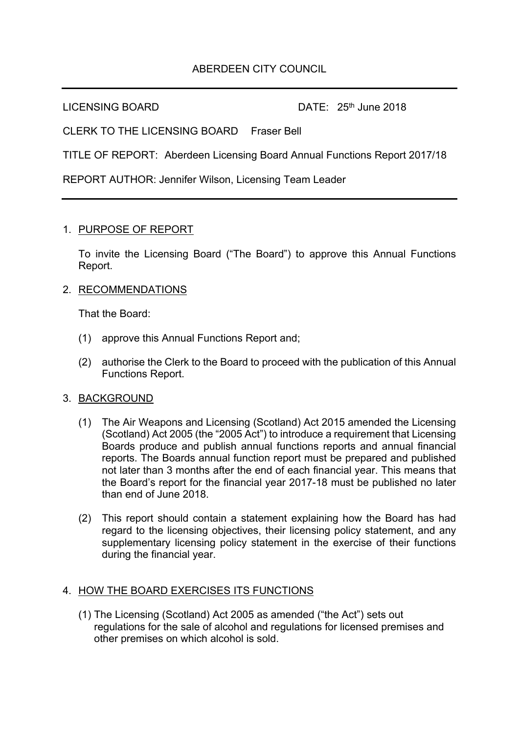# ABERDEEN CITY COUNCIL

LICENSING BOARD DATE: 25<sup>th</sup> June 2018

CLERK TO THE LICENSING BOARD Fraser Bell

TITLE OF REPORT: Aberdeen Licensing Board Annual Functions Report 2017/18

REPORT AUTHOR: Jennifer Wilson, Licensing Team Leader

#### 1. PURPOSE OF REPORT

To invite the Licensing Board ("The Board") to approve this Annual Functions Report.

### 2. RECOMMENDATIONS

That the Board:

- (1) approve this Annual Functions Report and;
- (2) authorise the Clerk to the Board to proceed with the publication of this Annual Functions Report.

#### 3. BACKGROUND

- (1) The Air Weapons and Licensing (Scotland) Act 2015 amended the Licensing (Scotland) Act 2005 (the "2005 Act") to introduce a requirement that Licensing Boards produce and publish annual functions reports and annual financial reports. The Boards annual function report must be prepared and published not later than 3 months after the end of each financial year. This means that the Board's report for the financial year 2017-18 must be published no later than end of June 2018.
- (2) This report should contain a statement explaining how the Board has had regard to the licensing objectives, their licensing policy statement, and any supplementary licensing policy statement in the exercise of their functions during the financial year.

## 4. HOW THE BOARD EXERCISES ITS FUNCTIONS

(1) The Licensing (Scotland) Act 2005 as amended ("the Act") sets out regulations for the sale of alcohol and regulations for licensed premises and other premises on which alcohol is sold.